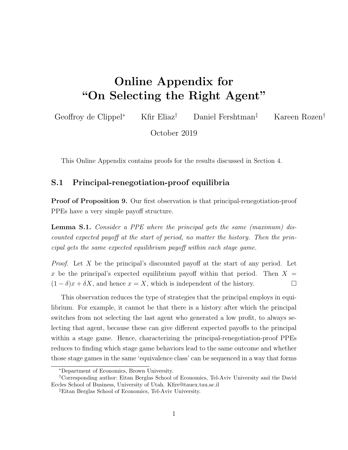# Online Appendix for "On Selecting the Right Agent"

Geoffroy de Clippel<sup>∗</sup> Kfir Eliaz† Daniel Fershtman‡ Kareen Rozen†

October 2019

This Online Appendix contains proofs for the results discussed in Section 4.

### S.1 Principal-renegotiation-proof equilibria

Proof of Proposition 9. Our first observation is that principal-renegotiation-proof PPEs have a very simple payoff structure.

**Lemma S.1.** Consider a PPE where the principal gets the same (maximum) discounted expected payoff at the start of period, no matter the history. Then the principal gets the same expected equilibrium payoff within each stage game.

*Proof.* Let X be the principal's discounted payoff at the start of any period. Let x be the principal's expected equilibrium payoff within that period. Then  $X =$  $(1 - \delta)x + \delta X$ , and hence  $x = X$ , which is independent of the history.

This observation reduces the type of strategies that the principal employs in equilibrium. For example, it cannot be that there is a history after which the principal switches from not selecting the last agent who generated a low profit, to always selecting that agent, because these can give different expected payoffs to the principal within a stage game. Hence, characterizing the principal-renegotiation-proof PPEs reduces to finding which stage game behaviors lead to the same outcome and whether those stage games in the same 'equivalence class' can be sequenced in a way that forms

<sup>∗</sup>Department of Economics, Brown University.

<sup>†</sup>Corresponding author: Eitan Berglas School of Economics, Tel-Aviv University and the David Eccles School of Business, University of Utah. Kfire@tauex.tau.ac.il

<sup>‡</sup>Eitan Berglas School of Economics, Tel-Aviv University.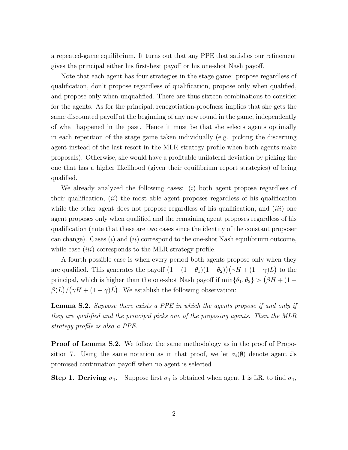a repeated-game equilibrium. It turns out that any PPE that satisfies our refinement gives the principal either his first-best payoff or his one-shot Nash payoff.

Note that each agent has four strategies in the stage game: propose regardless of qualification, don't propose regardless of qualification, propose only when qualified, and propose only when unqualified. There are thus sixteen combinations to consider for the agents. As for the principal, renegotiation-proofness implies that she gets the same discounted payoff at the beginning of any new round in the game, independently of what happened in the past. Hence it must be that she selects agents optimally in each repetition of the stage game taken individually (e.g. picking the discerning agent instead of the last resort in the MLR strategy profile when both agents make proposals). Otherwise, she would have a profitable unilateral deviation by picking the one that has a higher likelihood (given their equilibrium report strategies) of being qualified.

We already analyzed the following cases:  $(i)$  both agent propose regardless of their qualification,  $(ii)$  the most able agent proposes regardless of his qualification while the other agent does not propose regardless of his qualification, and  $(iii)$  one agent proposes only when qualified and the remaining agent proposes regardless of his qualification (note that these are two cases since the identity of the constant proposer can change). Cases  $(i)$  and  $(ii)$  correspond to the one-shot Nash equilibrium outcome, while case *(iii)* corresponds to the MLR strategy profile.

A fourth possible case is when every period both agents propose only when they are qualified. This generates the payoff  $(1 - (1 - \theta_1)(1 - \theta_2))(\gamma H + (1 - \gamma)L)$  to the principal, which is higher than the one-shot Nash payoff if  $\min\{\theta_1, \theta_2\} > (\beta H + (1 \beta$ )L $)/(\gamma H + (1 - \gamma)L)$ . We establish the following observation:

**Lemma S.2.** Suppose there exists a PPE in which the agents propose if and only if they are qualified and the principal picks one of the proposing agents. Then the MLR strategy profile is also a PPE.

**Proof of Lemma S.2.** We follow the same methodology as in the proof of Proposition 7. Using the same notation as in that proof, we let  $\sigma_i(\emptyset)$  denote agent *i*'s promised continuation payoff when no agent is selected.

**Step 1. Deriving**  $\underline{\sigma}_1$ . Suppose first  $\underline{\sigma}_1$  is obtained when agent 1 is LR. to find  $\underline{\sigma}_1$ ,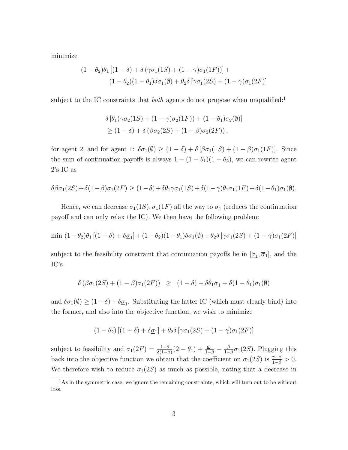minimize

$$
(1 - \theta_2)\theta_1 [(1 - \delta) + \delta (\gamma \sigma_1 (1S) + (1 - \gamma) \sigma_1 (1F))] +
$$
  

$$
(1 - \theta_2)(1 - \theta_1)\delta \sigma_1(\emptyset) + \theta_2 \delta [\gamma \sigma_1 (2S) + (1 - \gamma) \sigma_1 (2F)]
$$

subject to the IC constraints that *both* agents do not propose when unqualified:<sup>1</sup>

$$
\delta \left[ \theta_1(\gamma \sigma_2(1S) + (1 - \gamma)\sigma_2(1F)) + (1 - \theta_1)\sigma_2(\emptyset) \right]
$$
  
\n
$$
\geq (1 - \delta) + \delta \left( \beta \sigma_2(2S) + (1 - \beta)\sigma_2(2F) \right),
$$

for agent 2, and for agent 1:  $\delta\sigma_1(\emptyset) \geq (1-\delta) + \delta[\beta\sigma_1(1S) + (1-\beta)\sigma_1(1F)].$  Since the sum of continuation payoffs is always  $1 - (1 - \theta_1)(1 - \theta_2)$ , we can rewrite agent 2's IC as

$$
\delta\beta\sigma_1(2S) + \delta(1-\beta)\sigma_1(2F) \ge (1-\delta) + \delta\theta_1\gamma\sigma_1(1S) + \delta(1-\gamma)\theta_1\sigma_1(1F) + \delta(1-\theta_1)\sigma_1(\emptyset).
$$

Hence, we can decrease  $\sigma_1(1S)$ ,  $\sigma_1(1F)$  all the way to  $\underline{\sigma}_1$  (reduces the continuation payoff and can only relax the IC). We then have the following problem:

$$
\min (1-\theta_2)\theta_1 [(1-\delta)+\delta \underline{\sigma}_1] + (1-\theta_2)(1-\theta_1)\delta \sigma_1(\emptyset) + \theta_2 \delta [\gamma \sigma_1(2S) + (1-\gamma)\sigma_1(2F)]
$$

subject to the feasibility constraint that continuation payoffs lie in  $[\underline{\sigma}_1, \overline{\sigma}_1]$ , and the IC's

$$
\delta \left( \beta \sigma_1(2S) + (1 - \beta) \sigma_1(2F) \right) \ge (1 - \delta) + \delta \theta_1 \underline{\sigma}_1 + \delta (1 - \theta_1) \sigma_1(\emptyset)
$$

and  $\delta\sigma_1(\emptyset) \ge (1-\delta) + \delta\underline{\sigma}_1$ . Substituting the latter IC (which must clearly bind) into the former, and also into the objective function, we wish to minimize

$$
(1 - \theta_2) [(1 - \delta) + \delta \underline{\sigma}_1] + \theta_2 \delta [\gamma \sigma_1(2S) + (1 - \gamma) \sigma_1(2F)]
$$

subject to feasibility and  $\sigma_1(2F) = \frac{1-\delta}{\delta(1-\beta)}(2-\theta_1) + \frac{\sigma_1}{1-\beta} - \frac{\beta}{1-\beta}$  $\frac{\beta}{1-\beta}\sigma_1(2S)$ . Plugging this back into the objective function we obtain that the coefficient on  $\sigma_1(2S)$  is  $\frac{\gamma-\beta}{1-\beta} > 0$ . We therefore wish to reduce  $\sigma_1(2S)$  as much as possible, noting that a decrease in

<sup>&</sup>lt;sup>1</sup>As in the symmetric case, we ignore the remaining constraints, which will turn out to be without loss.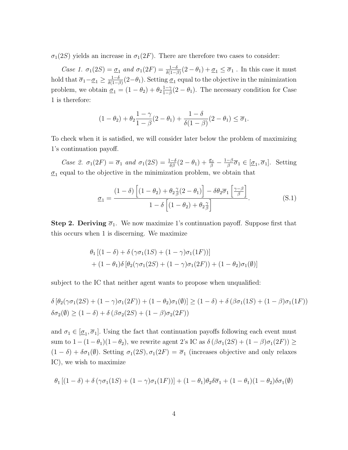$\sigma_1(2S)$  yields an increase in  $\sigma_1(2F)$ . There are therefore two cases to consider:

Case 1.  $\sigma_1(2S) = \underline{\sigma}_1$  and  $\sigma_1(2F) = \frac{1-\delta}{\delta(1-\beta)}(2-\theta_1) + \underline{\sigma}_1 \leq \overline{\sigma}_1$ . In this case it must hold that  $\overline{\sigma}_1 - \underline{\sigma}_1 \geq \frac{1-\delta}{\delta(1-\beta)}$  $\frac{1-\delta}{\delta(1-\beta)}(2-\theta_1)$ . Setting  $\underline{\sigma}_1$  equal to the objective in the minimization problem, we obtain  $\underline{\sigma}_1 = (1 - \theta_2) + \theta_2 \frac{1 - \gamma}{1 - \beta}$  $\frac{1-\gamma}{1-\beta}(2-\theta_1)$ . The necessary condition for Case 1 is therefore:

$$
(1 - \theta_2) + \theta_2 \frac{1 - \gamma}{1 - \beta} (2 - \theta_1) + \frac{1 - \delta}{\delta (1 - \beta)} (2 - \theta_1) \le \overline{\sigma}_1.
$$

To check when it is satisfied, we will consider later below the problem of maximizing 1's continuation payoff.

Case 2.  $\sigma_1(2F) = \overline{\sigma}_1$  and  $\sigma_1(2S) = \frac{1-\delta}{\delta\beta}(2-\theta_1) + \frac{\sigma_1}{\beta} - \frac{1-\beta}{\beta}$  $\frac{-\beta}{\beta}\overline{\sigma}_1 \in [\underline{\sigma}_1,\overline{\sigma}_1]$ . Setting  $\underline{\sigma}_1$  equal to the objective in the minimization problem, we obtain that

$$
\underline{\sigma}_1 = \frac{(1-\delta)\left[ (1-\theta_2) + \theta_2 \frac{\gamma}{\beta} (2-\theta_1) \right] - \delta \theta_2 \overline{\sigma}_1 \left[ \frac{\gamma-\beta}{\beta} \right]}{1-\delta \left[ (1-\theta_2) + \theta_2 \frac{\gamma}{\beta} \right]}.
$$
(S.1)

**Step 2. Deriving**  $\overline{\sigma}_1$ **.** We now maximize 1's continuation payoff. Suppose first that this occurs when 1 is discerning. We maximize

$$
\theta_1 [(1 - \delta) + \delta (\gamma \sigma_1 (1S) + (1 - \gamma) \sigma_1 (1F))]
$$
  
+ (1 -  $\theta_1$ ) $\delta$  [ $\theta_2$ ( $\gamma \sigma_1 (2S)$  + (1 -  $\gamma$ ) $\sigma_1 (2F)$  ) + (1 -  $\theta_2$ ) $\sigma_1$ ( $\emptyset$ )]

subject to the IC that neither agent wants to propose when unqualified:

$$
\delta [\theta_2(\gamma \sigma_1(2S) + (1 - \gamma)\sigma_1(2F)) + (1 - \theta_2)\sigma_1(\emptyset)] \ge (1 - \delta) + \delta (\beta \sigma_1(1S) + (1 - \beta)\sigma_1(1F))
$$
  

$$
\delta \sigma_2(\emptyset) \ge (1 - \delta) + \delta (\beta \sigma_2(2S) + (1 - \beta)\sigma_2(2F))
$$

and  $\sigma_1 \in [\underline{\sigma}_1, \overline{\sigma}_1]$ . Using the fact that continuation payoffs following each event must sum to  $1-(1-\theta_1)(1-\theta_2)$ , we rewrite agent 2's IC as  $\delta(\beta\sigma_1(2S) + (1-\beta)\sigma_1(2F)) \ge$  $(1 - \delta) + \delta \sigma_1(\emptyset)$ . Setting  $\sigma_1(2S), \sigma_1(2F) = \overline{\sigma}_1$  (increases objective and only relaxes IC), we wish to maximize

$$
\theta_1 \left[ (1-\delta) + \delta \left( \gamma \sigma_1(1S) + (1-\gamma) \sigma_1(1F) \right) \right] + (1-\theta_1)\theta_2 \delta \overline{\sigma}_1 + (1-\theta_1)(1-\theta_2) \delta \sigma_1(\emptyset)
$$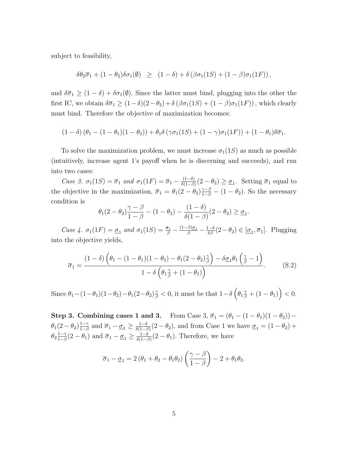subject to feasibility,

$$
\delta\theta_2\overline{\sigma}_1 + (1-\theta_2)\delta\sigma_1(\emptyset) \geq (1-\delta) + \delta(\beta\sigma_1(1S) + (1-\beta)\sigma_1(1F)),
$$

and  $\delta\overline{\sigma}_1 \geq (1-\delta) + \delta\sigma_1(\emptyset)$ . Since the latter must bind, plugging into the other the first IC, we obtain  $\delta\overline{\sigma}_1 \geq (1-\delta)(2-\theta_2) + \delta(\beta\sigma_1(1S) + (1-\beta)\sigma_1(1F))$ , which clearly must bind. Therefore the objective of maximization becomes:

$$
(1 - \delta) (\theta_1 - (1 - \theta_1)(1 - \theta_2)) + \theta_1 \delta (\gamma \sigma_1 (1S) + (1 - \gamma) \sigma_1 (1F)) + (1 - \theta_1) \delta \overline{\sigma}_1.
$$

To solve the maximization problem, we must increase  $\sigma_1(1S)$  as much as possible (intuitively, increase agent 1's payoff when he is discerning and succeeds), and run into two cases:

Case 3.  $\sigma_1(1S) = \overline{\sigma}_1$  and  $\sigma_1(1F) = \overline{\sigma}_1 - \frac{(1-\delta)}{\delta(1-\beta)}$  $\frac{(1-\delta)}{\delta(1-\beta)}(2-\theta_2) \geq \underline{\sigma}_1$ . Setting  $\overline{\sigma}_1$  equal to the objective in the maximization,  $\overline{\sigma}_1 = \theta_1(2-\theta_2)\frac{\gamma-\beta}{1-\beta} - (1-\theta_2)$ . So the necessary condition is

$$
\theta_1(2-\theta_2)\frac{\gamma-\beta}{1-\beta}-(1-\theta_2)-\frac{(1-\delta)}{\delta(1-\beta)}(2-\theta_2)\geq \underline{\sigma}_1.
$$

Case 4.  $\sigma_1(1F) = \underline{\sigma}_1$  and  $\sigma_1(1S) = \frac{\overline{\sigma}_1}{\beta} - \frac{(1-\beta)\underline{\sigma}_1}{\beta} - \frac{1-\delta}{\delta\beta}(2-\theta_2) \in [\underline{\sigma}_1, \overline{\sigma}_1]$ . Plugging into the objective yields,

$$
\overline{\sigma}_1 = \frac{(1-\delta)\left(\theta_1 - (1-\theta_1)(1-\theta_2) - \theta_1(2-\theta_2)\frac{\gamma}{\beta}\right) - \delta\underline{\sigma}_1\theta_1\left(\frac{\gamma}{\beta} - 1\right)}{1 - \delta\left(\theta_1\frac{\gamma}{\beta} + (1-\theta_1)\right)}.
$$
(S.2)

 $\text{Since } \theta_1 - (1 - \theta_1)(1 - \theta_2) - \theta_1(2 - \theta_2)\frac{\gamma}{\beta} < 0 \text{, it must be that } 1 - \delta \left(\theta_1 \frac{\gamma}{\beta} + (1 - \theta_1)\right) < 0.$ 

Step 3. Combining cases 1 and 3. From Case 3,  $\overline{\sigma}_1 = (\theta_1 - (1 - \theta_1)(1 - \theta_2))$  –  $\theta_1(2-\theta_2)\frac{1-\gamma}{1-\beta}$  $\frac{1-\gamma}{1-\beta}$  and  $\overline{\sigma}_1 - \underline{\sigma}_1 \ge \frac{1-\delta}{\delta(1-\beta)}$  $\frac{1-\delta}{\delta(1-\beta)}(2-\theta_2)$ , and from Case 1 we have  $\underline{\sigma}_1 = (1-\theta_2) +$  $\theta_2 \frac{1-\gamma}{1-\beta}$  $\frac{1-\gamma}{1-\beta}(2-\theta_1)$  and  $\overline{\sigma}_1 - \underline{\sigma}_1 \ge \frac{1-\delta}{\delta(1-\beta)}$  $\frac{1-\delta}{\delta(1-\beta)}(2-\theta_1)$ . Therefore, we have

$$
\overline{\sigma}_1 - \underline{\sigma}_1 = 2 (\theta_1 + \theta_2 - \theta_1 \theta_2) \left( \frac{\gamma - \beta}{1 - \beta} \right) - 2 + \theta_1 \theta_2.
$$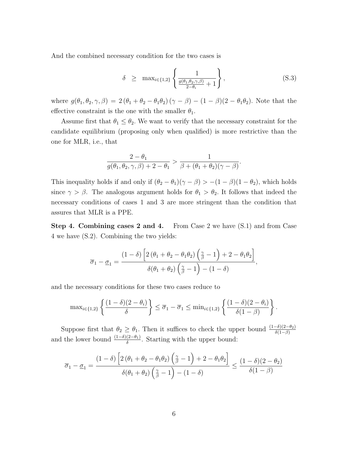And the combined necessary condition for the two cases is

$$
\delta \geq \max_{i \in \{1,2\}} \left\{ \frac{1}{\frac{g(\theta_1, \theta_2, \gamma, \beta)}{2 - \theta_i} + 1} \right\},
$$
\n(S.3)

where  $g(\theta_1, \theta_2, \gamma, \beta) = 2 (\theta_1 + \theta_2 - \theta_1 \theta_2) (\gamma - \beta) - (1 - \beta)(2 - \theta_1 \theta_2)$ . Note that the effective constraint is the one with the smaller  $\theta_1$ .

Assume first that  $\theta_1 \leq \theta_2$ . We want to verify that the necessary constraint for the candidate equilibrium (proposing only when qualified) is more restrictive than the one for MLR, i.e., that

$$
\frac{2-\theta_1}{g(\theta_1,\theta_2,\gamma,\beta)+2-\theta_1} > \frac{1}{\beta+(\theta_1+\theta_2)(\gamma-\beta)}.
$$

This inequality holds if and only if  $(\theta_2 - \theta_1)(\gamma - \beta) > -(1 - \beta)(1 - \theta_2)$ , which holds since  $\gamma > \beta$ . The analogous argument holds for  $\theta_1 > \theta_2$ . It follows that indeed the necessary conditions of cases 1 and 3 are more stringent than the condition that assures that MLR is a PPE.

Step 4. Combining cases 2 and 4. From Case 2 we have (S.1) and from Case 4 we have (S.2). Combining the two yields:

$$
\overline{\sigma}_1 - \underline{\sigma}_1 = \frac{(1-\delta) \left[ 2 (\theta_1 + \theta_2 - \theta_1 \theta_2) \left( \frac{\gamma}{\beta} - 1 \right) + 2 - \theta_1 \theta_2 \right]}{\delta(\theta_1 + \theta_2) \left( \frac{\gamma}{\beta} - 1 \right) - (1-\delta)},
$$

and the necessary conditions for these two cases reduce to

$$
\max_{i\in\{1,2\}}\left\{\frac{(1-\delta)(2-\theta_i)}{\delta}\right\}\leq \overline{\sigma}_1-\overline{\sigma}_1\leq \min_{i\in\{1,2\}}\left\{\frac{(1-\delta)(2-\theta_i)}{\delta(1-\beta)}\right\}.
$$

Suppose first that  $\theta_2 \geq \theta_1$ . Then it suffices to check the upper bound  $\frac{(1-\delta)(2-\theta_2)}{\delta(1-\beta)}$ and the lower bound  $\frac{(1-\delta)(2-\theta_1)}{\delta}$ . Starting with the upper bound:

$$
\overline{\sigma}_1 - \underline{\sigma}_1 = \frac{(1-\delta) \left[ 2 (\theta_1 + \theta_2 - \theta_1 \theta_2) \left( \frac{\gamma}{\beta} - 1 \right) + 2 - \theta_1 \theta_2 \right]}{\delta(\theta_1 + \theta_2) \left( \frac{\gamma}{\beta} - 1 \right) - (1-\delta)} \le \frac{(1-\delta)(2-\theta_2)}{\delta(1-\beta)}
$$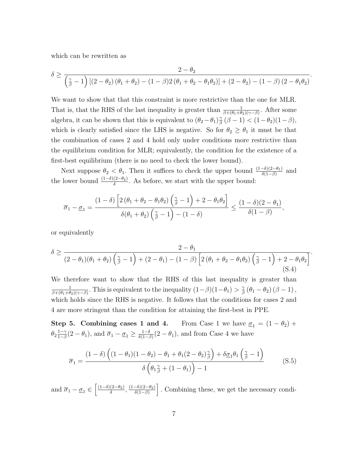which can be rewritten as

$$
\delta \geq \frac{2-\theta_2}{\left(\frac{\gamma}{\beta}-1\right)\left[\left(2-\theta_2\right)\left(\theta_1+\theta_2\right)-\left(1-\beta\right)2\left(\theta_1+\theta_2-\theta_1\theta_2\right)\right]+\left(2-\theta_2\right)-\left(1-\beta\right)\left(2-\theta_1\theta_2\right)}.
$$

We want to show that that this constraint is more restrictive than the one for MLR. That is, that the RHS of the last inequality is greater than  $\frac{1}{\beta+(\theta_1+\theta_2)(\gamma-\beta)}$ . After some algebra, it can be shown that this is equivalent to  $(\theta_2 - \theta_1)_\beta^{\gamma}$  $\frac{\gamma}{\beta}(\beta - 1) < (1 - \theta_2)(1 - \beta),$ which is clearly satisfied since the LHS is negative. So for  $\theta_2 \ge \theta_1$  it must be that the combination of cases 2 and 4 hold only under conditions more restrictive than the equilibrium condition for MLR; equivalently, the condition for the existence of a first-best equilibrium (there is no need to check the lower bound).

Next suppose  $\theta_2 < \theta_1$ . Then it suffices to check the upper bound  $\frac{(1-\delta)(2-\theta_1)}{\delta(1-\beta)}$  and the lower bound  $\frac{(1-\delta)(2-\theta_2)}{\delta}$ . As before, we start with the upper bound:

$$
\overline{\sigma}_1 - \underline{\sigma}_1 = \frac{(1-\delta) \left[ 2 (\theta_1 + \theta_2 - \theta_1 \theta_2) \left( \frac{\gamma}{\beta} - 1 \right) + 2 - \theta_1 \theta_2 \right]}{\delta(\theta_1 + \theta_2) \left( \frac{\gamma}{\beta} - 1 \right) - (1-\delta)} \le \frac{(1-\delta)(2-\theta_1)}{\delta(1-\beta)}
$$

,

or equivalently

$$
\delta \ge \frac{2-\theta_1}{(2-\theta_1)(\theta_1+\theta_2)\left(\frac{\gamma}{\beta}-1\right)+(2-\theta_1)-(1-\beta)\left[2(\theta_1+\theta_2-\theta_1\theta_2)\left(\frac{\gamma}{\beta}-1\right)+2-\theta_1\theta_2\right]}.
$$
\n(S.4)

We therefore want to show that the RHS of this last inequality is greater than 1  $\frac{1}{\beta+(\theta_1+\theta_2)(\gamma-\beta)}$ . This is equivalent to the inequality  $(1-\beta)(1-\theta_1) > \frac{\gamma}{\beta}$  $\frac{\gamma}{\beta}\left(\theta_{1}-\theta_{2}\right)\left(\beta-1\right),$ which holds since the RHS is negative. It follows that the conditions for cases 2 and 4 are more stringent than the condition for attaining the first-best in PPE.

Step 5. Combining cases 1 and 4. From Case 1 we have  $\sigma_1 = (1 - \theta_2) +$  $\theta_2 \frac{1-\gamma}{1-\beta}$  $\frac{1-\gamma}{1-\beta}(2-\theta_1)$ , and  $\overline{\sigma}_1 - \underline{\sigma}_1 \ge \frac{1-\delta}{\delta(1-\beta)}$  $\frac{1-\delta}{\delta(1-\beta)}(2-\theta_1)$ , and from Case 4 we have

$$
\overline{\sigma}_1 = \frac{(1-\delta)\left((1-\theta_1)(1-\theta_2)-\theta_1+\theta_1(2-\theta_2)\frac{\gamma}{\beta}\right)+\delta\underline{\sigma}_1\theta_1\left(\frac{\gamma}{\beta}-1\right)}{\delta\left(\theta_1\frac{\gamma}{\beta}+(1-\theta_1)\right)-1}
$$
(S.5)

and  $\overline{\sigma}_1 - \underline{\sigma}_1 \in \left[\frac{(1-\delta)(2-\theta_2)}{\delta}\right]$  $\frac{(2-\theta_2)}{\delta}, \frac{(1-\delta)(2-\theta_2)}{\delta(1-\beta)}$  $\frac{-\delta(2-\theta_2)}{\delta(1-\beta)}$ . Combining these, we get the necessary condi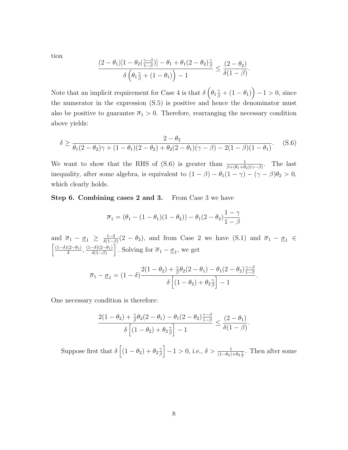tion

$$
\frac{(2-\theta_1)[1-\theta_2(\frac{\gamma-\beta}{1-\beta})]-\theta_1+\theta_1(2-\theta_2)\frac{\gamma}{\beta}}{\delta\left(\theta_1\frac{\gamma}{\beta}+(1-\theta_1)\right)-1}\leq \frac{(2-\theta_2)}{\delta(1-\beta)}.
$$

Note that an implicit requirement for Case 4 is that  $\delta\left(\theta_1\frac{\gamma}{\beta} + (1-\theta_1)\right) - 1 > 0$ , since the numerator in the expression (S.5) is positive and hence the denominator must also be positive to guarantee  $\overline{\sigma}_1 > 0$ . Therefore, rearranging the necessary condition above yields:

$$
\delta \ge \frac{2 - \theta_2}{\theta_1 (2 - \theta_2)\gamma + (1 - \theta_1)(2 - \theta_2) + \theta_2 (2 - \theta_1)(\gamma - \beta) - 2(1 - \beta)(1 - \theta_1)}.
$$
 (S.6)

We want to show that the RHS of (S.6) is greater than  $\frac{1}{\beta+(\theta_1+\theta_2)(\gamma-\beta)}$ . The last inequality, after some algebra, is equivalent to  $(1 - \beta) - \theta_1(1 - \gamma) - (\gamma - \beta)\theta_2 > 0$ , which clearly holds.

Step 6. Combining cases 2 and 3. From Case 3 we have

$$
\overline{\sigma}_1 = (\theta_1 - (1 - \theta_1)(1 - \theta_2)) - \theta_1(2 - \theta_2)\frac{1 - \gamma}{1 - \beta}
$$

and  $\overline{\sigma}_1 - \underline{\sigma}_1 \geq \frac{1-\delta}{\delta(1-\delta)}$  $\frac{1-\delta}{\delta(1-\beta)}(2-\theta_2)$ , and from Case 2 we have (S.1) and  $\overline{\sigma}_1 - \underline{\sigma}_1 \in$  $\left(1-\delta\right)(2-\theta_1)$  $\frac{(2-\theta_1)}{\delta}, \frac{(1-\delta)(2-\theta_1)}{\delta(1-\beta)}$  $\left[\frac{\delta(2-\theta_1)}{\delta(1-\beta)}\right]$ . Solving for  $\overline{\sigma}_1 - \underline{\sigma}_1$ , we get

$$
\overline{\sigma}_1 - \underline{\sigma}_1 = (1 - \delta) \frac{2(1 - \theta_2) + \frac{\gamma}{\beta} \theta_2 (2 - \theta_1) - \theta_1 (2 - \theta_2) \frac{\gamma - \beta}{1 - \beta}}{\delta \left[ (1 - \theta_2) + \theta_2 \frac{\gamma}{\beta} \right] - 1}.
$$

One necessary condition is therefore:

$$
\frac{2(1-\theta_2)+\frac{\gamma}{\beta}\theta_2(2-\theta_1)-\theta_1(2-\theta_2)\frac{\gamma-\beta}{1-\beta}}{\delta\left[(1-\theta_2)+\theta_2\frac{\gamma}{\beta}\right]-1}\leq \frac{(2-\theta_1)}{\delta(1-\beta)}.
$$

Suppose first that  $\delta \left[ (1 - \theta_2) + \theta_2 \frac{\gamma}{\beta} \right]$  $\left[\frac{\gamma}{\beta}\right] - 1 > 0$ , i.e.,  $\delta > \frac{1}{(1-\theta_2)+\theta_2\frac{\gamma}{\beta}}$ . Then after some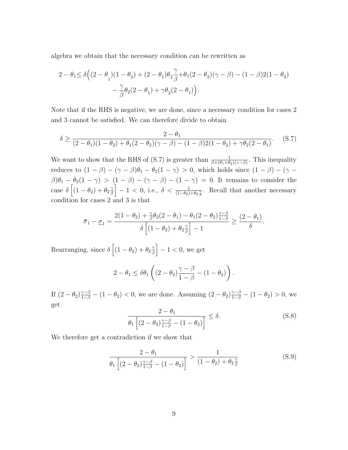algebra we obtain that the necessary condition can be rewritten as

$$
\begin{aligned} 2-\theta_1 &\leq \delta\Big((2-\theta_1)(1-\theta_2)+(2-\theta_1)\theta_2\frac{\gamma}{\beta}+\theta_1(2-\theta_2)(\gamma-\beta)-(1-\beta)2(1-\theta_2)\\ &\quad -\frac{\gamma}{\beta}\theta_2(2-\theta_1)+\gamma\theta_2(2-\theta_1)\Big). \end{aligned}
$$

Note that if the RHS is negative, we are done, since a necessary condition for cases 2 and 3 cannot be satisfied. We can therefore divide to obtain

$$
\delta \ge \frac{2 - \theta_1}{(2 - \theta_1)(1 - \theta_2) + \theta_1(2 - \theta_2)(\gamma - \beta) - (1 - \beta)2(1 - \theta_2) + \gamma \theta_2(2 - \theta_1)}.
$$
 (S.7)

We want to show that the RHS of (S.7) is greater than  $\frac{1}{\beta+(\theta_1+\theta_2)(\gamma-\beta)}$ . This inequality reduces to  $(1 - \beta) - (\gamma - \beta)\theta_1 - \theta_2(1 - \gamma) > 0$ , which holds since  $(1 - \beta) - (\gamma - \beta)\theta_1$  $\beta$ ) $\theta_1 - \theta_2(1 - \gamma) > (1 - \beta) - (\gamma - \beta) - (1 - \gamma) = 0$ . It remains to consider the case  $\delta \left[ (1 - \theta_2) + \theta_2 \frac{\gamma}{\beta} \right]$  $\left[\frac{\gamma}{\beta}\right] - 1 < 0$ , i.e.,  $\delta < \frac{1}{(1-\theta_2)+\theta_2\frac{\gamma}{\beta}}$ . Recall that another necessary condition for cases 2 and 3 is that

$$
\overline{\sigma}_1 - \underline{\sigma}_1 = \frac{2(1-\theta_2) + \frac{\gamma}{\beta}\theta_2(2-\theta_1) - \theta_1(2-\theta_2)\frac{\gamma-\beta}{1-\beta}}{\delta\left[(1-\theta_2) + \theta_2\frac{\gamma}{\beta}\right] - 1} \ge \frac{(2-\theta_1)}{\delta}.
$$

Rearranging, since  $\delta \left[ (1 - \theta_2) + \theta_2 \frac{2}{\beta} \right]$  $\left[\frac{\gamma}{\beta}\right] - 1 < 0$ , we get

$$
2 - \theta_1 \leq \delta \theta_1 \left( (2 - \theta_2) \frac{\gamma - \beta}{1 - \beta} - (1 - \theta_2) \right).
$$

If  $(2-\theta_2)\frac{\gamma-\beta}{1-\beta}-(1-\theta_2)<0$ , we are done. Assuming  $(2-\theta_2)\frac{\gamma-\beta}{1-\beta}-(1-\theta_2)>0$ , we get

$$
\frac{2 - \theta_1}{\theta_1 \left[ (2 - \theta_2) \frac{\gamma - \beta}{1 - \beta} - (1 - \theta_2) \right]} \le \delta.
$$
\n(S.8)

We therefore get a contradiction if we show that

$$
\frac{2 - \theta_1}{\theta_1 \left[ (2 - \theta_2) \frac{\gamma - \beta}{1 - \beta} - (1 - \theta_2) \right]} > \frac{1}{(1 - \theta_2) + \theta_2 \frac{\gamma}{\beta}}
$$
(S.9)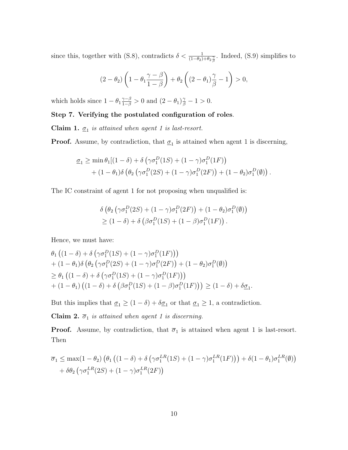since this, together with (S.8), contradicts  $\delta < \frac{1}{(1-\theta_2)+\theta_2\frac{\gamma}{\beta}}$ . Indeed, (S.9) simplifies to

$$
(2 - \theta_2) \left(1 - \theta_1 \frac{\gamma - \beta}{1 - \beta}\right) + \theta_2 \left((2 - \theta_1)\frac{\gamma}{\beta} - 1\right) > 0,
$$

which holds since  $1 - \theta_1 \frac{\gamma - \beta}{1 - \beta} > 0$  and  $(2 - \theta_1) \frac{\gamma}{\beta} - 1 > 0$ .

## Step 7. Verifying the postulated configuration of roles.

**Claim 1.**  $\underline{\sigma}_1$  is attained when agent 1 is last-resort.

**Proof.** Assume, by contradiction, that  $\underline{\sigma}_1$  is attained when agent 1 is discerning,

$$
\underline{\sigma}_1 \ge \min \theta_1 [(1 - \delta) + \delta (\gamma \sigma_1^D (1S) + (1 - \gamma) \sigma_1^D (1F))
$$
  
+ 
$$
(1 - \theta_1) \delta (\theta_2 (\gamma \sigma_1^D (2S) + (1 - \gamma) \sigma_1^D (2F)) + (1 - \theta_2) \sigma_1^D (\emptyset)).
$$

The IC constraint of agent 1 for not proposing when unqualified is:

$$
\delta \left( \theta_2 \left( \gamma \sigma_1^D(2S) + (1 - \gamma) \sigma_1^D(2F) \right) + (1 - \theta_2) \sigma_1^D(\emptyset) \right) \geq (1 - \delta) + \delta \left( \beta \sigma_1^D(1S) + (1 - \beta) \sigma_1^D(1F) \right).
$$

Hence, we must have:

$$
\theta_1 \left( (1 - \delta) + \delta \left( \gamma \sigma_1^D (1S) + (1 - \gamma) \sigma_1^D (1F) \right) \right) \n+ (1 - \theta_1) \delta \left( \theta_2 \left( \gamma \sigma_1^D (2S) + (1 - \gamma) \sigma_1^D (2F) \right) + (1 - \theta_2) \sigma_1^D (\emptyset) \right) \n\geq \theta_1 \left( (1 - \delta) + \delta \left( \gamma \sigma_1^D (1S) + (1 - \gamma) \sigma_1^D (1F) \right) \right) \n+ (1 - \theta_1) \left( (1 - \delta) + \delta \left( \beta \sigma_1^D (1S) + (1 - \beta) \sigma_1^D (1F) \right) \right) \geq (1 - \delta) + \delta \underline{\sigma}_1.
$$

But this implies that  $\underline{\sigma}_1 \geq (1 - \delta) + \delta \underline{\sigma}_1$  or that  $\underline{\sigma}_1 \geq 1$ , a contradiction.

Claim 2.  $\overline{\sigma}_1$  is attained when agent 1 is discerning.

**Proof.** Assume, by contradiction, that  $\overline{\sigma}_1$  is attained when agent 1 is last-resort. Then

$$
\overline{\sigma}_1 \le \max(1 - \theta_2) \left( \theta_1 \left( (1 - \delta) + \delta \left( \gamma \sigma_1^{LR}(1S) + (1 - \gamma) \sigma_1^{LR}(1F) \right) \right) + \delta (1 - \theta_1) \sigma_1^{LR}(\emptyset) \right) + \delta \theta_2 \left( \gamma \sigma_1^{LR}(2S) + (1 - \gamma) \sigma_1^{LR}(2F) \right)
$$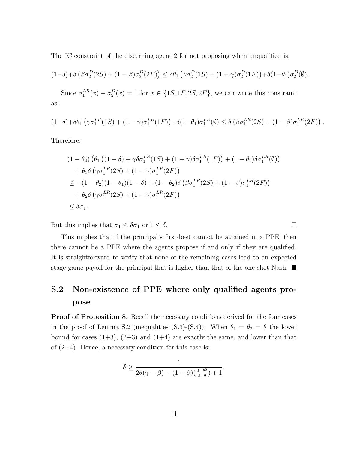The IC constraint of the discerning agent 2 for not proposing when unqualified is:

$$
(1-\delta)+\delta \left(\beta \sigma_2^D(2S) + (1-\beta) \sigma_2^D(2F)\right) \leq \delta \theta_1 \left(\gamma \sigma_2^D(1S) + (1-\gamma) \sigma_2^D(1F)\right) + \delta (1-\theta_1) \sigma_2^D(\emptyset).
$$

Since  $\sigma_1^{LR}(x) + \sigma_2^{D}(x) = 1$  for  $x \in \{1S, 1F, 2S, 2F\}$ , we can write this constraint as:

$$
(1-\delta)+\delta\theta_1\left(\gamma\sigma_1^{LR}(1S)+(1-\gamma)\sigma_1^{LR}(1F)\right)+\delta(1-\theta_1)\sigma_1^{LR}(\emptyset)\leq \delta\left(\beta\sigma_1^{LR}(2S)+(1-\beta)\sigma_1^{LR}(2F)\right).
$$

Therefore:

$$
(1 - \theta_2) \left( \theta_1 \left( (1 - \delta) + \gamma \delta \sigma_1^{LR}(1S) + (1 - \gamma) \delta \sigma_1^{LR}(1F) \right) + (1 - \theta_1) \delta \sigma_1^{LR}(\emptyset) \right)
$$
  
+ 
$$
\theta_2 \delta \left( \gamma \sigma_1^{LR}(2S) + (1 - \gamma) \sigma_1^{LR}(2F) \right)
$$
  

$$
\leq -(1 - \theta_2) (1 - \theta_1) (1 - \delta) + (1 - \theta_2) \delta \left( \beta \sigma_1^{LR}(2S) + (1 - \beta) \sigma_1^{LR}(2F) \right)
$$
  
+ 
$$
\theta_2 \delta \left( \gamma \sigma_1^{LR}(2S) + (1 - \gamma) \sigma_1^{LR}(2F) \right)
$$
  

$$
\leq \delta \overline{\sigma}_1.
$$

But this implies that  $\overline{\sigma}_1 \leq \delta \overline{\sigma}_1$  or  $1 \leq \delta$ .

This implies that if the principal's first-best cannot be attained in a PPE, then there cannot be a PPE where the agents propose if and only if they are qualified. It is straightforward to verify that none of the remaining cases lead to an expected stage-game payoff for the principal that is higher than that of the one-shot Nash.

# S.2 Non-existence of PPE where only qualified agents propose

**Proof of Proposition 8.** Recall the necessary conditions derived for the four cases in the proof of Lemma S.2 (inequalities (S.3)-(S.4)). When  $\theta_1 = \theta_2 = \theta$  the lower bound for cases  $(1+3)$ ,  $(2+3)$  and  $(1+4)$  are exactly the same, and lower than that of  $(2+4)$ . Hence, a necessary condition for this case is:

$$
\delta \ge \frac{1}{2\theta(\gamma-\beta)-(1-\beta)\left(\frac{2-\theta^2}{2-\theta}\right)+1}.
$$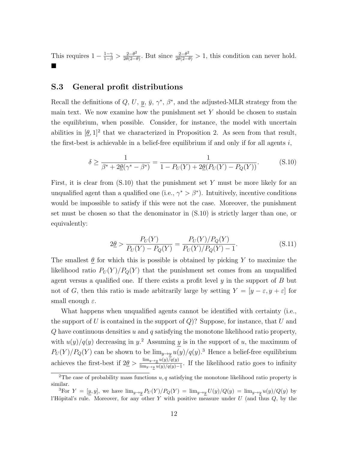This requires  $1 - \frac{1-\gamma}{1-\beta} > \frac{2-\theta^2}{2\theta(2-\theta)}$  $\frac{2-\theta^2}{2\theta(2-\theta)}$ . But since  $\frac{2-\theta^2}{2\theta(2-\theta)} > 1$ , this condition can never hold.  $\blacksquare$ 

#### S.3 General profit distributions

Recall the definitions of Q, U, y,  $\bar{y}$ ,  $\gamma^*$ ,  $\beta^*$ , and the adjusted-MLR strategy from the main text. We now examine how the punishment set  $Y$  should be chosen to sustain the equilibrium, when possible. Consider, for instance, the model with uncertain abilities in  $[\underline{\theta}, 1]^2$  that we characterized in Proposition 2. As seen from that result, the first-best is achievable in a belief-free equilibrium if and only if for all agents  $i$ ,

$$
\delta \ge \frac{1}{\beta^* + 2\underline{\theta}(\gamma^* - \beta^*)} = \frac{1}{1 - P_U(Y) + 2\underline{\theta}(P_U(Y) - P_Q(Y))}.
$$
 (S.10)

First, it is clear from  $(S.10)$  that the punishment set Y must be more likely for an unqualified agent than a qualified one (i.e.,  $\gamma^* > \beta^*$ ). Intuitively, incentive conditions would be impossible to satisfy if this were not the case. Moreover, the punishment set must be chosen so that the denominator in (S.10) is strictly larger than one, or equivalently:

$$
2\underline{\theta} > \frac{P_U(Y)}{P_U(Y) - P_Q(Y)} = \frac{P_U(Y)/P_Q(Y)}{P_U(Y)/P_Q(Y) - 1}.
$$
\n(S.11)

The smallest  $\theta$  for which this is possible is obtained by picking Y to maximize the likelihood ratio  $P_U(Y)/P_Q(Y)$  that the punishment set comes from an unqualified agent versus a qualified one. If there exists a profit level  $y$  in the support of  $B$  but not of G, then this ratio is made arbitrarily large by setting  $Y = [y - \varepsilon, y + \varepsilon]$  for small enough  $\varepsilon$ .

What happens when unqualified agents cannot be identified with certainty (i.e., the support of  $U$  is contained in the support of  $Q$ ? Suppose, for instance, that  $U$  and  $Q$  have continuous densities  $u$  and  $q$  satisfying the monotone likelihood ratio property, with  $u(y)/q(y)$  decreasing in y.<sup>2</sup> Assuming y is in the support of u, the maximum of  $P_U(Y)/P_Q(Y)$  can be shown to be  $\lim_{y\to y} u(y)/q(y)$ .<sup>3</sup> Hence a belief-free equilibrium achieves the first-best if  $2\theta > \frac{\lim_{y\to y} u(y)/q(y)}{\lim_{y\to y} u(y)/q(y)}$  $\frac{\lim_{y\to y} u(y)/q(y)}{\lim_{y\to y} u(y)/q(y)-1}$ . If the likelihood ratio goes to infinity

<sup>&</sup>lt;sup>2</sup>The case of probability mass functions  $u, q$  satisfying the monotone likelihood ratio property is similar.

<sup>&</sup>lt;sup>3</sup>For  $Y = [y, y]$ , we have  $\lim_{y\to y} P_U(Y)/P_Q(Y) = \lim_{y\to y} U(y)/Q(y) = \lim_{y\to y} u(y)/Q(y)$  by l'Hôpital's rule. Moreover, for any other Y with positive measure under  $U$  (and thus  $Q$ , by the